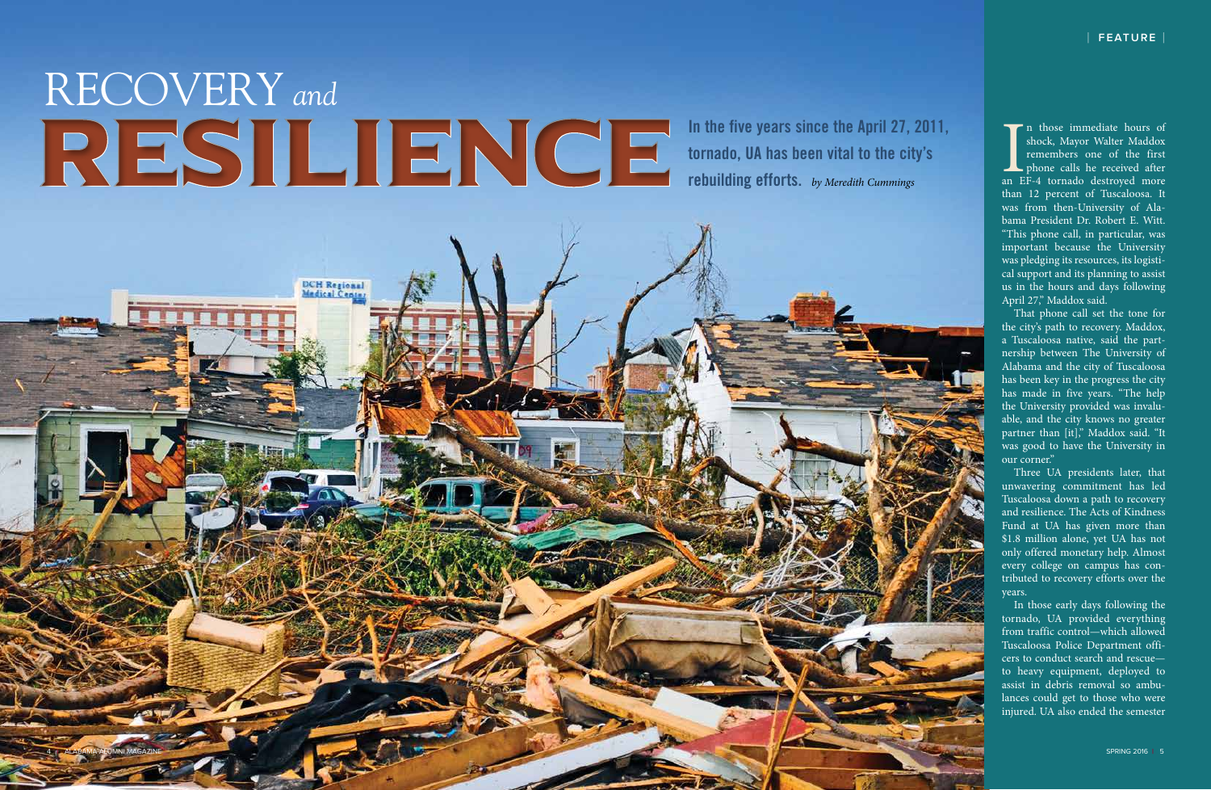# RECOVERY *and*<br>RESILIENCE

DCH Regional<br>Medical Center

**In the five years since the April 27, 2011, tornado, UA has been vital to the city's rebuilding efforts.** *by Meredith Cummings*

In those immediate hours of<br>shock, Mayor Walter Maddox<br>remembers one of the first<br>phone calls he received after<br>an EF-4 tornado destroyed more n those immediate hours of shock, Mayor Walter Maddox remembers one of the first **phone** calls he received after than 12 percent of Tuscaloosa. It was from then-University of Ala bama President Dr. Robert E. Witt. "This phone call, in particular, was important because the University was pledging its resources, its logisti cal support and its planning to assist us in the hours and days following April 27," Maddox said.

That phone call set the tone for the city's path to recovery. Maddox, a Tuscaloosa native, said the part nership between The University of Alabama and the city of Tuscaloosa has been key in the progress the city has made in five years. "The help the University provided was invalu able, and the city knows no greater partner than [it]," Maddox said. "It was good to have the University in our corner."

Three UA presidents later, that unwavering commitment has led Tuscaloosa down a path to recovery and resilience. The Acts of Kindness Fund at UA has given more than \$1.8 million alone, yet UA has not only offered monetary help. Almost every college on campus has con tributed to recovery efforts over the years.

In those early days following the tornado, UA provided everything from traffic control—which allowed Tuscaloosa Police Department offi cers to conduct search and rescue to heavy equipment, deployed to assist in debris removal so ambu lances could get to those who were injured. UA also ended the semester

4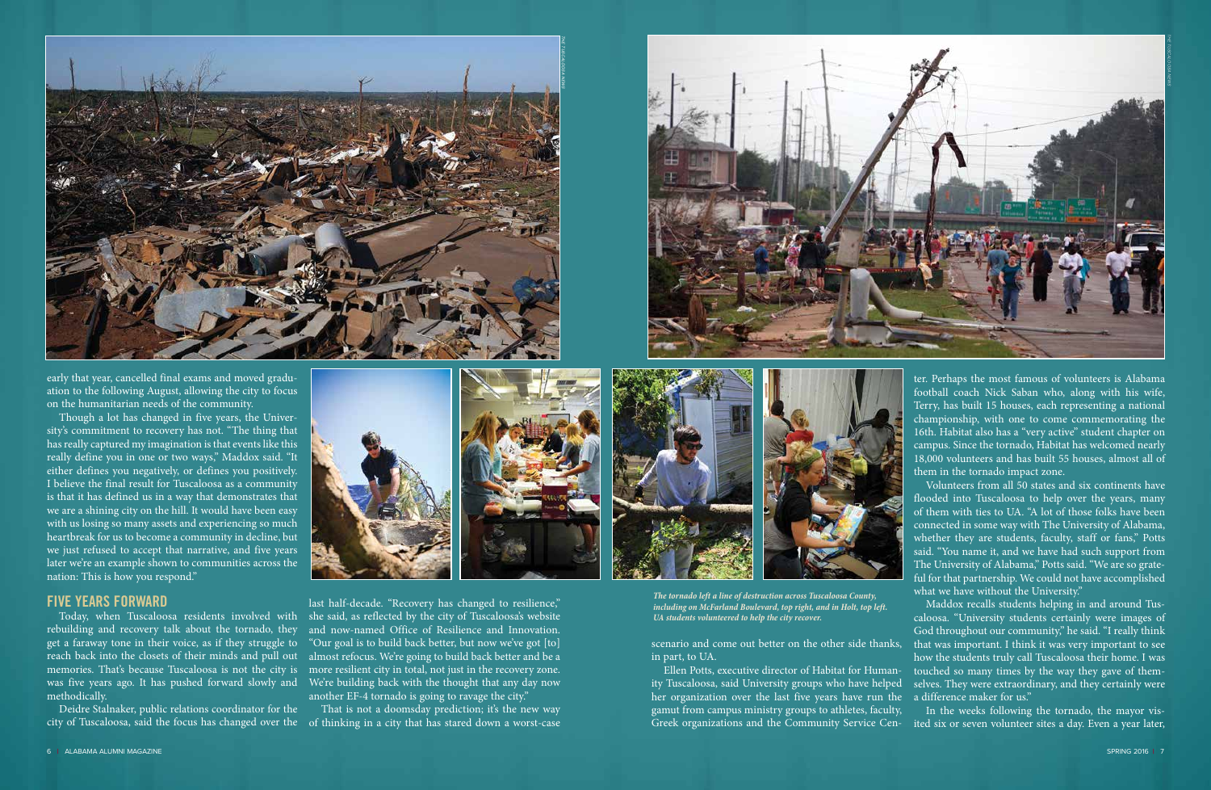early that year, cancelled final exams and moved graduation to the following August, allowing the city to focus on the humanitarian needs of the community.

Though a lot has changed in five years, the University's commitment to recovery has not. "The thing that has really captured my imagination is that events like this really define you in one or two ways," Maddox said. "It either defines you negatively, or defines you positively. I believe the final result for Tuscaloosa as a community is that it has defined us in a way that demonstrates that we are a shining city on the hill. It would have been easy with us losing so many assets and experiencing so much heartbreak for us to become a community in decline, but we just refused to accept that narrative, and five years later we're an example shown to communities across the nation: This is how you respond."

## **FIVE YEARS FORWARD**

rebuilding and recovery talk about the tornado, they get a faraway tone in their voice, as if they struggle to reach back into the closets of their minds and pull out methodically.

scenario and come out better on the other side thanks, in part, to UA.

ter. Perhaps the most famous of volunteers is Alabama football coach Nick Saban who, along with his wife, Terry, has built 15 houses, each representing a national championship, with one to come commemorating the 16th. Habitat also has a "very active" student chapter on campus. Since the tornado, Habitat has welcomed nearly 18,000 volunteers and has built 55 houses, almost all of them in the tornado impact zone.

Ellen Potts, executive director of Habitat for Humanity Tuscaloosa, said University groups who have helped her organization over the last five years have run the a difference maker for us." gamut from campus ministry groups to athletes, faculty, Greek organizations and the Community Service Cen-ited six or seven volunteer sites a day. Even a year later, selves. They were extraordinary, and they certainly were In the weeks following the tornado, the mayor vis-





Today, when Tuscaloosa residents involved with she said, as reflected by the city of Tuscaloosa's website memories. That's because Tuscaloosa is not the city is more resilient city in total, not just in the recovery zone. was five years ago. It has pushed forward slowly and We're building back with the thought that any day now last half-decade. "Recovery has changed to resilience," and now-named Office of Resilience and Innovation. "Our goal is to build back better, but now we've got [to] almost refocus. We're going to build back better and be a another EF-4 tornado is going to ravage the city."

That is not a doomsday prediction; it's the new way

Volunteers from all 50 states and six continents have flooded into Tuscaloosa to help over the years, many of them with ties to UA. "A lot of those folks have been connected in some way with The University of Alabama, whether they are students, faculty, staff or fans," Potts said. "You name it, and we have had such support from The University of Alabama," Potts said. "We are so grateful for that partnership. We could not have accomplished what we have without the University."

Deidre Stalnaker, public relations coordinator for the city of Tuscaloosa, said the focus has changed over the of thinking in a city that has stared down a worst-case

Maddox recalls students helping in and around Tuscaloosa. "University students certainly were images of God throughout our community," he said. "I really think that was important. I think it was very important to see how the students truly call Tuscaloosa their home. I was touched so many times by the way they gave of them-

*The tornado left a line of destruction across Tuscaloosa County, including on McFarland Boulevard, top right, and in Holt, top left. UA students volunteered to help the city recover.* 



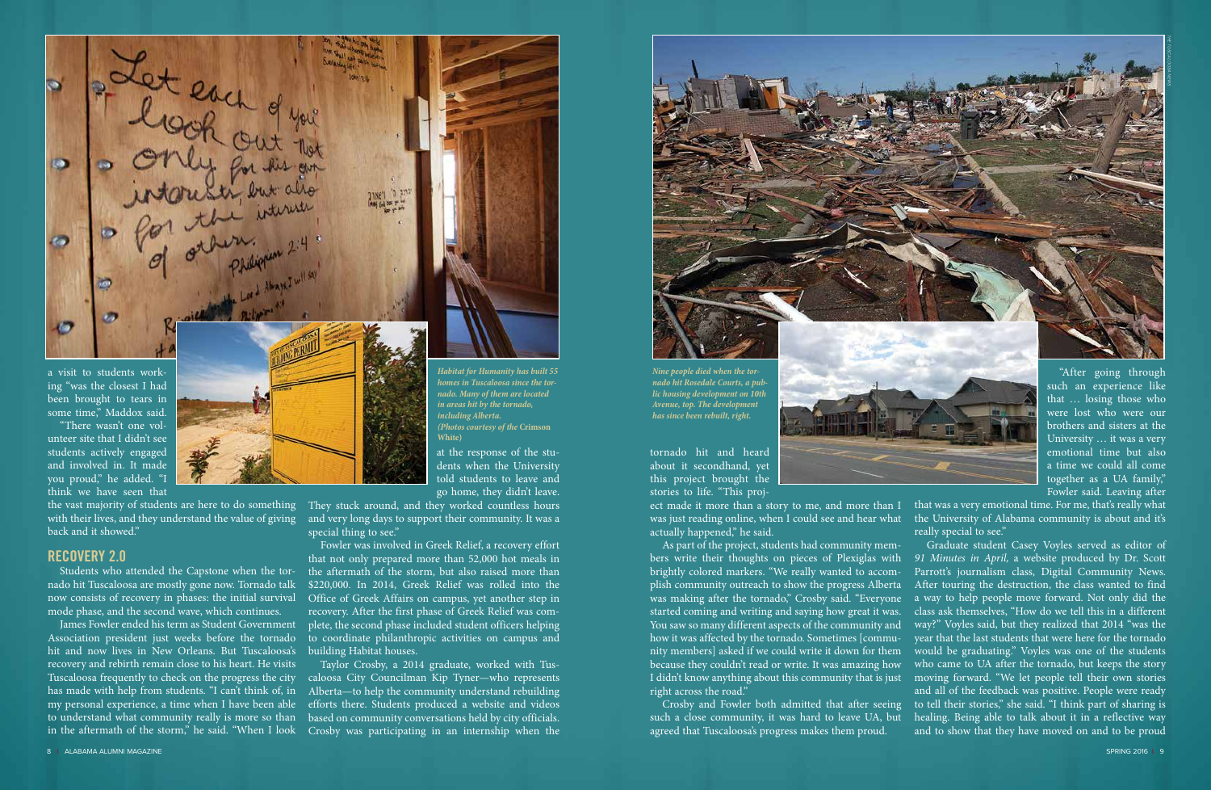ing "was the closest I had been brought to tears in some time," Maddox said. "There wasn't one vol-

unteer site that I didn't see students actively engaged and involved in. It made you proud," he added. "I think we have seen that

the vast majority of students are here to do something with their lives, and they understand the value of giving back and it showed."

# **RECOVERY 2.0**

Students who attended the Capstone when the tornado hit Tuscaloosa are mostly gone now. Tornado talk now consists of recovery in phases: the initial survival mode phase, and the second wave, which continues.

James Fowler ended his term as Student Government Association president just weeks before the tornado hit and now lives in New Orleans. But Tuscaloosa's recovery and rebirth remain close to his heart. He visits Tuscaloosa frequently to check on the progress the city has made with help from students. "I can't think of, in my personal experience, a time when I have been able to understand what community really is more so than

at the response of the students when the University told students to leave and go home, they didn't leave.

They stuck around, and they worked countless hours and very long days to support their community. It was a special thing to see."

in the aftermath of the storm," he said. "When I look Crosby was participating in an internship when the Taylor Crosby, a 2014 graduate, worked with Tuscaloosa City Councilman Kip Tyner—who represents Alberta—to help the community understand rebuilding efforts there. Students produced a website and videos based on community conversations held by city officials.



Fowler was involved in Greek Relief, a recovery effort that not only prepared more than 52,000 hot meals in the aftermath of the storm, but also raised more than \$220,000. In 2014, Greek Relief was rolled into the Office of Greek Affairs on campus, yet another step in recovery. After the first phase of Greek Relief was complete, the second phase included student officers helping to coordinate philanthropic activities on campus and building Habitat houses.

tornado hit and heard about it secondhand, yet this project brought the stories to life. "This proj-

Bet each out that o Ø  $\bullet$ a visit to students work-*Habitat for Humanity has built 55* 

ect made it more than a story to me, and more than I was just reading online, when I could see and hear what the University of Alabama community is about and it's actually happened," he said. that was a very emotional time. For me, that's really what really special to see."

such a close community, it was hard to leave UA, but agreed that Tuscaloosa's progress makes them proud.

"After going through such an experience like that … losing those who were lost who were our brothers and sisters at the University … it was a very emotional time but also a time we could all come together as a UA family," Fowler said. Leaving after

As part of the project, students had community members write their thoughts on pieces of Plexiglas with brightly colored markers. "We really wanted to accomplish community outreach to show the progress Alberta was making after the tornado," Crosby said. "Everyone started coming and writing and saying how great it was. You saw so many different aspects of the community and how it was affected by the tornado. Sometimes [community members] asked if we could write it down for them because they couldn't read or write. It was amazing how I didn't know anything about this community that is just right across the road." Crosby and Fowler both admitted that after seeing Graduate student Casey Voyles served as editor of *91 Minutes in April,* a website produced by Dr. Scott Parrott's journalism class, Digital Community News. After touring the destruction, the class wanted to find a way to help people move forward. Not only did the class ask themselves, "How do we tell this in a different way?" Voyles said, but they realized that 2014 "was the year that the last students that were here for the tornado would be graduating." Voyles was one of the students who came to UA after the tornado, but keeps the story moving forward. "We let people tell their own stories and all of the feedback was positive. People were ready to tell their stories," she said. "I think part of sharing is healing. Being able to talk about it in a reflective way and to show that they have moved on and to be proud

*Nine people died when the tornado hit Rosedale Courts, a public housing development on 10th Avenue, top. The development has since been rebuilt, right.*

*homes in Tuscaloosa since the tornado. Many of them are located in areas hit by the tornado, including Alberta.* 

*(Photos courtesy of the* **Crimson** 

**White)**